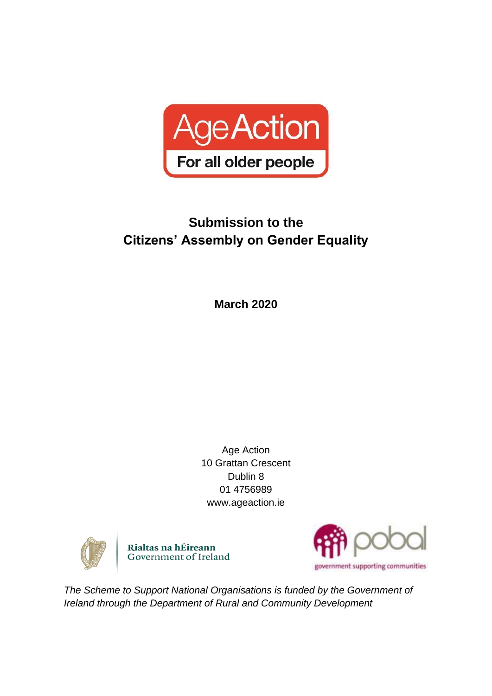

# **Submission to the Citizens' Assembly on Gender Equality**

**March 2020**

Age Action 10 Grattan Crescent Dublin 8 01 4756989 [www.ageaction.ie](http://www.ageaction.ie/)



Rialtas na hÉireann Government of Ireland



*The Scheme to Support National Organisations is funded by the Government of Ireland through the Department of Rural and Community Development*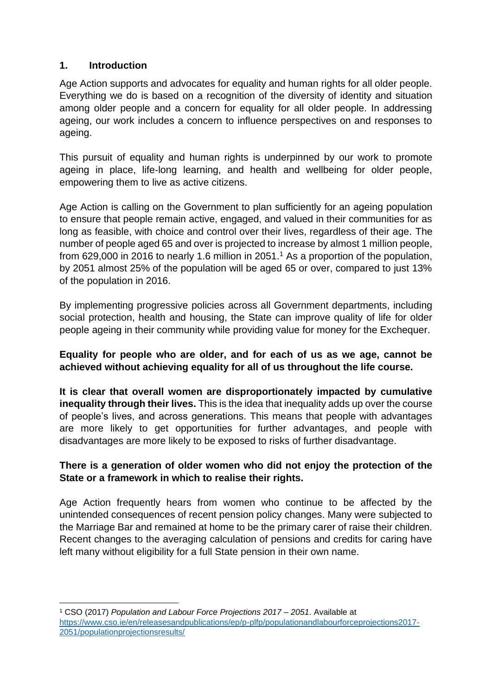## **1. Introduction**

Age Action supports and advocates for equality and human rights for all older people. Everything we do is based on a recognition of the diversity of identity and situation among older people and a concern for equality for all older people. In addressing ageing, our work includes a concern to influence perspectives on and responses to ageing.

This pursuit of equality and human rights is underpinned by our work to promote ageing in place, life‐long learning, and health and wellbeing for older people, empowering them to live as active citizens.

Age Action is calling on the Government to plan sufficiently for an ageing population to ensure that people remain active, engaged, and valued in their communities for as long as feasible, with choice and control over their lives, regardless of their age. The number of people aged 65 and over is projected to increase by almost 1 million people, from 629,000 in 2016 to nearly 1.6 million in 2051.<sup>1</sup> As a proportion of the population, by 2051 almost 25% of the population will be aged 65 or over, compared to just 13% of the population in 2016.

By implementing progressive policies across all Government departments, including social protection, health and housing, the State can improve quality of life for older people ageing in their community while providing value for money for the Exchequer.

## **Equality for people who are older, and for each of us as we age, cannot be achieved without achieving equality for all of us throughout the life course.**

**It is clear that overall women are disproportionately impacted by cumulative inequality through their lives.** This is the idea that inequality adds up over the course of people's lives, and across generations. This means that people with advantages are more likely to get opportunities for further advantages, and people with disadvantages are more likely to be exposed to risks of further disadvantage.

## **There is a generation of older women who did not enjoy the protection of the State or a framework in which to realise their rights.**

Age Action frequently hears from women who continue to be affected by the unintended consequences of recent pension policy changes. Many were subjected to the Marriage Bar and remained at home to be the primary carer of raise their children. Recent changes to the averaging calculation of pensions and credits for caring have left many without eligibility for a full State pension in their own name.

<sup>1</sup> CSO (2017) *Population and Labour Force Projections 2017 – 2051*. Available at [https://www.cso.ie/en/releasesandpublications/ep/p-plfp/populationandlabourforceprojections2017-](https://www.cso.ie/en/releasesandpublications/ep/p-plfp/populationandlabourforceprojections2017-2051/populationprojectionsresults/) [2051/populationprojectionsresults/](https://www.cso.ie/en/releasesandpublications/ep/p-plfp/populationandlabourforceprojections2017-2051/populationprojectionsresults/)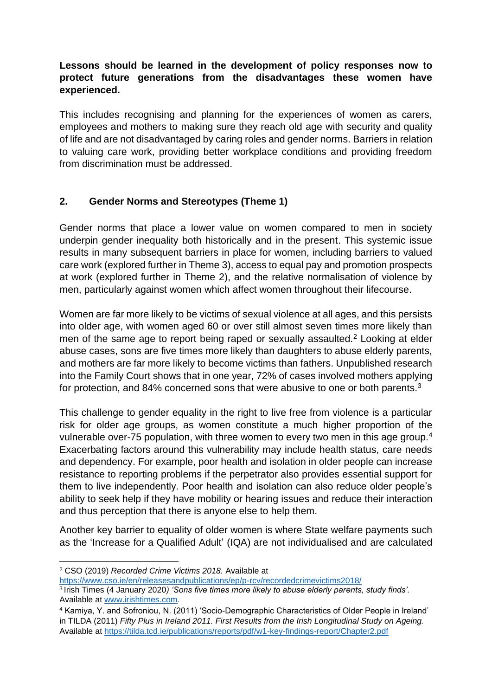## **Lessons should be learned in the development of policy responses now to protect future generations from the disadvantages these women have experienced.**

This includes recognising and planning for the experiences of women as carers, employees and mothers to making sure they reach old age with security and quality of life and are not disadvantaged by caring roles and gender norms. Barriers in relation to valuing care work, providing better workplace conditions and providing freedom from discrimination must be addressed.

# **2. Gender Norms and Stereotypes (Theme 1)**

Gender norms that place a lower value on women compared to men in society underpin gender inequality both historically and in the present. This systemic issue results in many subsequent barriers in place for women, including barriers to valued care work (explored further in Theme 3), access to equal pay and promotion prospects at work (explored further in Theme 2), and the relative normalisation of violence by men, particularly against women which affect women throughout their lifecourse.

Women are far more likely to be victims of sexual violence at all ages, and this persists into older age, with women aged 60 or over still almost seven times more likely than men of the same age to report being raped or sexually assaulted.<sup>2</sup> Looking at elder abuse cases, sons are five times more likely than daughters to abuse elderly parents, and mothers are far more likely to become victims than fathers. Unpublished research into the Family Court shows that in one year, 72% of cases involved mothers applying for protection, and 84% concerned sons that were abusive to one or both parents.<sup>3</sup>

This challenge to gender equality in the right to live free from violence is a particular risk for older age groups, as women constitute a much higher proportion of the vulnerable over-75 population, with three women to every two men in this age group.<sup>4</sup> Exacerbating factors around this vulnerability may include health status, care needs and dependency. For example, poor health and isolation in older people can increase resistance to reporting problems if the perpetrator also provides essential support for them to live independently. Poor health and isolation can also reduce older people's ability to seek help if they have mobility or hearing issues and reduce their interaction and thus perception that there is anyone else to help them.

Another key barrier to equality of older women is where State welfare payments such as the 'Increase for a Qualified Adult' (IQA) are not individualised and are calculated

<sup>2</sup> CSO (2019) *Recorded Crime Victims 2018.* Available at

<https://www.cso.ie/en/releasesandpublications/ep/p-rcv/recordedcrimevictims2018/>

<sup>3</sup> Irish Times (4 January 2020*) 'Sons five times more likely to abuse elderly parents, study finds'.*  Available at [www.irishtimes.com.](http://www.irishtimes.com/)

<sup>4</sup> Kamiya, Y. and Sofroniou, N. (2011) 'Socio-Demographic Characteristics of Older People in Ireland' in TILDA (2011) *Fifty Plus in Ireland 2011. First Results from the Irish Longitudinal Study on Ageing.* Available at<https://tilda.tcd.ie/publications/reports/pdf/w1-key-findings-report/Chapter2.pdf>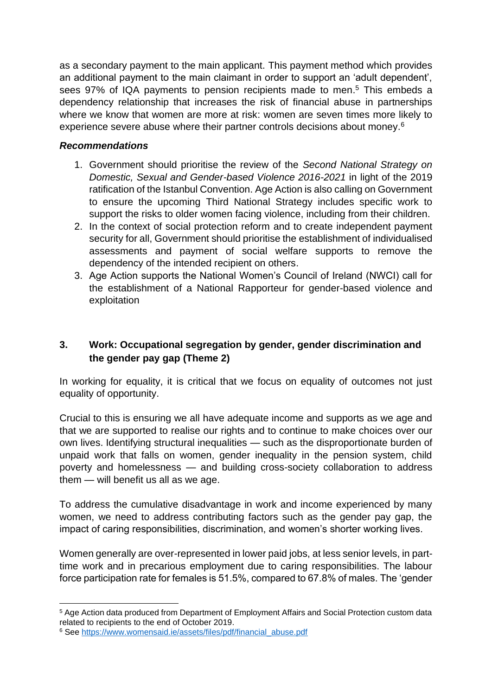as a secondary payment to the main applicant. This payment method which provides an additional payment to the main claimant in order to support an 'adult dependent', sees 97% of IQA payments to pension recipients made to men.<sup>5</sup> This embeds a dependency relationship that increases the risk of financial abuse in partnerships where we know that women are more at risk: women are seven times more likely to experience severe abuse where their partner controls decisions about money.<sup>6</sup>

#### *Recommendations*

- 1. Government should prioritise the review of the *Second National Strategy on Domestic, Sexual and Gender-based Violence 2016-2021* in light of the 2019 ratification of the Istanbul Convention. Age Action is also calling on Government to ensure the upcoming Third National Strategy includes specific work to support the risks to older women facing violence, including from their children.
- 2. In the context of social protection reform and to create independent payment security for all, Government should prioritise the establishment of individualised assessments and payment of social welfare supports to remove the dependency of the intended recipient on others.
- 3. Age Action supports the National Women's Council of Ireland (NWCI) call for the establishment of a National Rapporteur for gender-based violence and exploitation

# **3. Work: Occupational segregation by gender, gender discrimination and the gender pay gap (Theme 2)**

In working for equality, it is critical that we focus on equality of outcomes not just equality of opportunity.

Crucial to this is ensuring we all have adequate income and supports as we age and that we are supported to realise our rights and to continue to make choices over our own lives. Identifying structural inequalities — such as the disproportionate burden of unpaid work that falls on women, gender inequality in the pension system, child poverty and homelessness — and building cross-society collaboration to address them — will benefit us all as we age.

To address the cumulative disadvantage in work and income experienced by many women, we need to address contributing factors such as the gender pay gap, the impact of caring responsibilities, discrimination, and women's shorter working lives.

Women generally are over-represented in lower paid jobs, at less senior levels, in parttime work and in precarious employment due to caring responsibilities. The labour force participation rate for females is 51.5%, compared to 67.8% of males. The 'gender

<sup>5</sup> Age Action data produced from Department of Employment Affairs and Social Protection custom data related to recipients to the end of October 2019.

<sup>6</sup> See [https://www.womensaid.ie/assets/files/pdf/financial\\_abuse.pdf](https://www.womensaid.ie/assets/files/pdf/financial_abuse.pdf)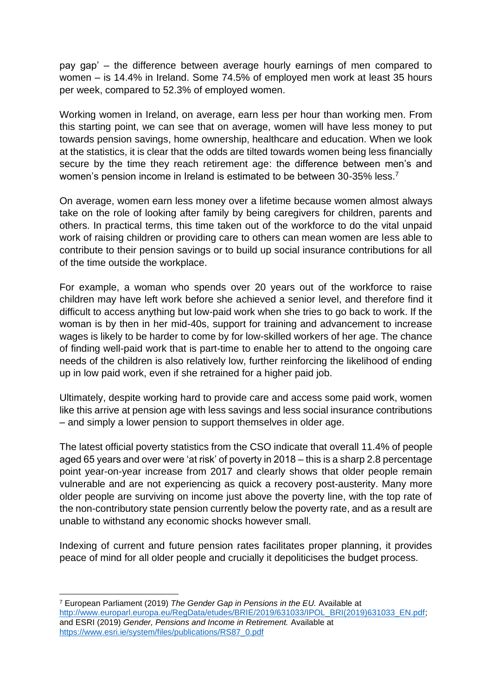pay gap' – the difference between average hourly earnings of men compared to women – is 14.4% in Ireland. Some 74.5% of employed men work at least 35 hours per week, compared to 52.3% of employed women.

Working women in Ireland, on average, earn less per hour than working men. From this starting point, we can see that on average, women will have less money to put towards pension savings, home ownership, healthcare and education. When we look at the statistics, it is clear that the odds are tilted towards women being less financially secure by the time they reach retirement age: the difference between men's and women's pension income in Ireland is estimated to be between 30-35% less.<sup>7</sup>

On average, women earn less money over a lifetime because women almost always take on the role of looking after family by being caregivers for children, parents and others. In practical terms, this time taken out of the workforce to do the vital unpaid work of raising children or providing care to others can mean women are less able to contribute to their pension savings or to build up social insurance contributions for all of the time outside the workplace.

For example, a woman who spends over 20 years out of the workforce to raise children may have left work before she achieved a senior level, and therefore find it difficult to access anything but low-paid work when she tries to go back to work. If the woman is by then in her mid-40s, support for training and advancement to increase wages is likely to be harder to come by for low-skilled workers of her age. The chance of finding well-paid work that is part-time to enable her to attend to the ongoing care needs of the children is also relatively low, further reinforcing the likelihood of ending up in low paid work, even if she retrained for a higher paid job.

Ultimately, despite working hard to provide care and access some paid work, women like this arrive at pension age with less savings and less social insurance contributions – and simply a lower pension to support themselves in older age.

The latest official poverty statistics from the CSO indicate that overall 11.4% of people aged 65 years and over were 'at risk' of poverty in 2018 – this is a sharp 2.8 percentage point year-on-year increase from 2017 and clearly shows that older people remain vulnerable and are not experiencing as quick a recovery post-austerity. Many more older people are surviving on income just above the poverty line, with the top rate of the non-contributory state pension currently below the poverty rate, and as a result are unable to withstand any economic shocks however small.

Indexing of current and future pension rates facilitates proper planning, it provides peace of mind for all older people and crucially it depoliticises the budget process.

<sup>7</sup> European Parliament (2019) *The Gender Gap in Pensions in the EU.* Available at [http://www.europarl.europa.eu/RegData/etudes/BRIE/2019/631033/IPOL\\_BRI\(2019\)631033\\_EN.pdf;](http://www.europarl.europa.eu/RegData/etudes/BRIE/2019/631033/IPOL_BRI(2019)631033_EN.pdf) and ESRI (2019) *Gender, Pensions and Income in Retirement.* Available at [https://www.esri.ie/system/files/publications/RS87\\_0.pdf](https://www.esri.ie/system/files/publications/RS87_0.pdf)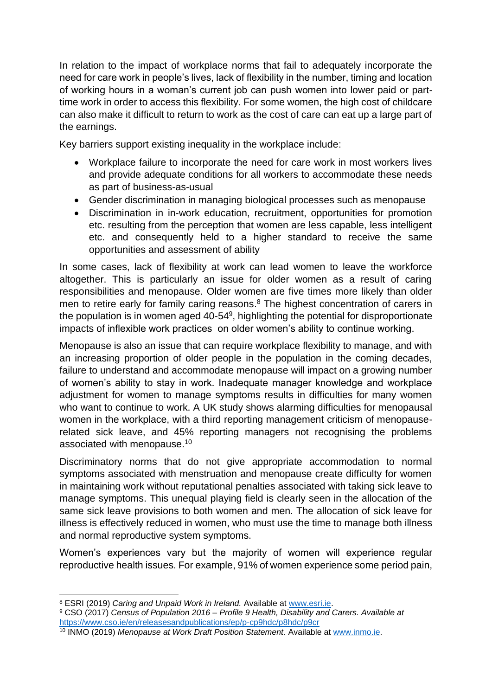In relation to the impact of workplace norms that fail to adequately incorporate the need for care work in people's lives, lack of flexibility in the number, timing and location of working hours in a woman's current job can push women into lower paid or parttime work in order to access this flexibility. For some women, the high cost of childcare can also make it difficult to return to work as the cost of care can eat up a large part of the earnings.

Key barriers support existing inequality in the workplace include:

- Workplace failure to incorporate the need for care work in most workers lives and provide adequate conditions for all workers to accommodate these needs as part of business-as-usual
- Gender discrimination in managing biological processes such as menopause
- Discrimination in in-work education, recruitment, opportunities for promotion etc. resulting from the perception that women are less capable, less intelligent etc. and consequently held to a higher standard to receive the same opportunities and assessment of ability

In some cases, lack of flexibility at work can lead women to leave the workforce altogether. This is particularly an issue for older women as a result of caring responsibilities and menopause. Older women are five times more likely than older men to retire early for family caring reasons.<sup>8</sup> The highest concentration of carers in the population is in women aged  $40-54<sup>9</sup>$ , highlighting the potential for disproportionate impacts of inflexible work practices on older women's ability to continue working.

Menopause is also an issue that can require workplace flexibility to manage, and with an increasing proportion of older people in the population in the coming decades, failure to understand and accommodate menopause will impact on a growing number of women's ability to stay in work. Inadequate manager knowledge and workplace adjustment for women to manage symptoms results in difficulties for many women who want to continue to work. A UK study shows alarming difficulties for menopausal women in the workplace, with a third reporting management criticism of menopauserelated sick leave, and 45% reporting managers not recognising the problems associated with menopause.<sup>10</sup>

Discriminatory norms that do not give appropriate accommodation to normal symptoms associated with menstruation and menopause create difficulty for women in maintaining work without reputational penalties associated with taking sick leave to manage symptoms. This unequal playing field is clearly seen in the allocation of the same sick leave provisions to both women and men. The allocation of sick leave for illness is effectively reduced in women, who must use the time to manage both illness and normal reproductive system symptoms.

Women's experiences vary but the majority of women will experience regular reproductive health issues. For example, 91% of women experience some period pain,

<sup>8</sup> ESRI (2019) *Caring and Unpaid Work in Ireland.* Available at [www.esri.ie.](http://www.esri.ie/)

<sup>9</sup> CSO (2017) *Census of Population 2016 – Profile 9 Health, Disability and Carers. Available at*  [https://www.cso.ie/en/releasesandpublications/ep/p-cp9hdc/p8hdc/p9cr](https://www.cso.ie/en/releasesandpublications/ep/p-cp9hdc/p8hdc/p9cr/)

<sup>10</sup> INMO (2019) *Menopause at Work Draft Position Statement*. Available at [www.inmo.ie.](http://www.inmo.ie/)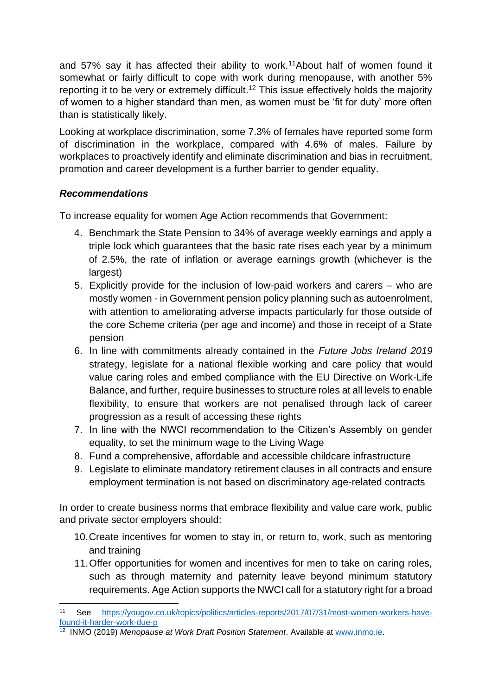and 57% say it has affected their ability to work.<sup>11</sup>About half of women found it somewhat or fairly difficult to cope with work during menopause, with another 5% reporting it to be very or extremely difficult.<sup>12</sup> This issue effectively holds the majority of women to a higher standard than men, as women must be 'fit for duty' more often than is statistically likely.

Looking at workplace discrimination, some 7.3% of females have reported some form of discrimination in the workplace, compared with 4.6% of males. Failure by workplaces to proactively identify and eliminate discrimination and bias in recruitment, promotion and career development is a further barrier to gender equality.

# *Recommendations*

To increase equality for women Age Action recommends that Government:

- 4. Benchmark the State Pension to 34% of average weekly earnings and apply a triple lock which guarantees that the basic rate rises each year by a minimum of 2.5%, the rate of inflation or average earnings growth (whichever is the largest)
- 5. Explicitly provide for the inclusion of low-paid workers and carers who are mostly women - in Government pension policy planning such as autoenrolment, with attention to ameliorating adverse impacts particularly for those outside of the core Scheme criteria (per age and income) and those in receipt of a State pension
- 6. In line with commitments already contained in the *Future Jobs Ireland 2019* strategy, legislate for a national flexible working and care policy that would value caring roles and embed compliance with the EU Directive on Work-Life Balance, and further, require businesses to structure roles at all levels to enable flexibility, to ensure that workers are not penalised through lack of career progression as a result of accessing these rights
- 7. In line with the NWCI recommendation to the Citizen's Assembly on gender equality, to set the minimum wage to the Living Wage
- 8. Fund a comprehensive, affordable and accessible childcare infrastructure
- 9. Legislate to eliminate mandatory retirement clauses in all contracts and ensure employment termination is not based on discriminatory age-related contracts

In order to create business norms that embrace flexibility and value care work, public and private sector employers should:

- 10.Create incentives for women to stay in, or return to, work, such as mentoring and training
- 11.Offer opportunities for women and incentives for men to take on caring roles, such as through maternity and paternity leave beyond minimum statutory requirements. Age Action supports the NWCI call for a statutory right for a broad

<sup>11</sup> See [https://yougov.co.uk/topics/politics/articles-reports/2017/07/31/most-women-workers-have](https://yougov.co.uk/topics/politics/articles-reports/2017/07/31/most-women-workers-have-found-it-harder-work-due-p)[found-it-harder-work-due-p](https://yougov.co.uk/topics/politics/articles-reports/2017/07/31/most-women-workers-have-found-it-harder-work-due-p)

<sup>12</sup> INMO (2019) *Menopause at Work Draft Position Statement*. Available at [www.inmo.ie.](http://www.inmo.ie/)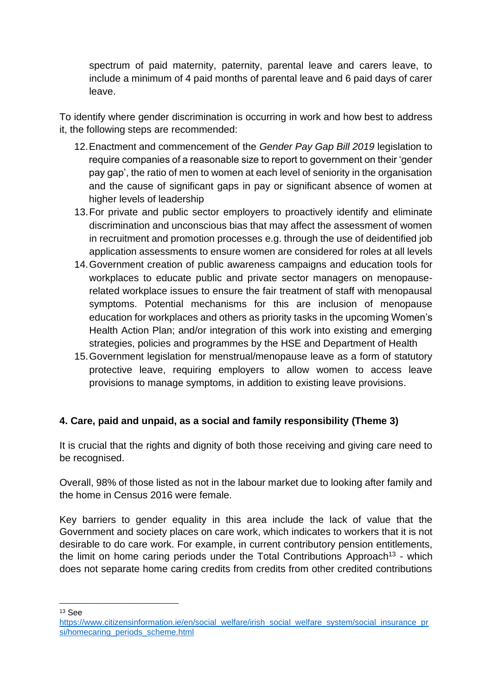spectrum of paid maternity, paternity, parental leave and carers leave, to include a minimum of 4 paid months of parental leave and 6 paid days of carer leave.

To identify where gender discrimination is occurring in work and how best to address it, the following steps are recommended:

- 12.Enactment and commencement of the *Gender Pay Gap Bill 2019* legislation to require companies of a reasonable size to report to government on their 'gender pay gap', the ratio of men to women at each level of seniority in the organisation and the cause of significant gaps in pay or significant absence of women at higher levels of leadership
- 13.For private and public sector employers to proactively identify and eliminate discrimination and unconscious bias that may affect the assessment of women in recruitment and promotion processes e.g. through the use of deidentified job application assessments to ensure women are considered for roles at all levels
- 14.Government creation of public awareness campaigns and education tools for workplaces to educate public and private sector managers on menopauserelated workplace issues to ensure the fair treatment of staff with menopausal symptoms. Potential mechanisms for this are inclusion of menopause education for workplaces and others as priority tasks in the upcoming Women's Health Action Plan; and/or integration of this work into existing and emerging strategies, policies and programmes by the HSE and Department of Health
- 15.Government legislation for menstrual/menopause leave as a form of statutory protective leave, requiring employers to allow women to access leave provisions to manage symptoms, in addition to existing leave provisions.

# **4. Care, paid and unpaid, as a social and family responsibility (Theme 3)**

It is crucial that the rights and dignity of both those receiving and giving care need to be recognised.

Overall, 98% of those listed as not in the labour market due to looking after family and the home in Census 2016 were female.

Key barriers to gender equality in this area include the lack of value that the Government and society places on care work, which indicates to workers that it is not desirable to do care work. For example, in current contributory pension entitlements, the limit on home caring periods under the Total Contributions Approach<sup>13</sup> - which does not separate home caring credits from credits from other credited contributions

<sup>13</sup> See

[https://www.citizensinformation.ie/en/social\\_welfare/irish\\_social\\_welfare\\_system/social\\_insurance\\_pr](https://www.citizensinformation.ie/en/social_welfare/irish_social_welfare_system/social_insurance_prsi/homecaring_periods_scheme.html) [si/homecaring\\_periods\\_scheme.html](https://www.citizensinformation.ie/en/social_welfare/irish_social_welfare_system/social_insurance_prsi/homecaring_periods_scheme.html)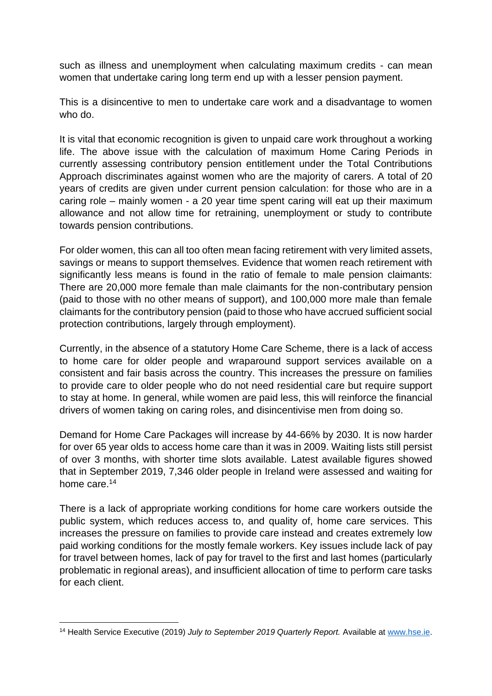such as illness and unemployment when calculating maximum credits - can mean women that undertake caring long term end up with a lesser pension payment.

This is a disincentive to men to undertake care work and a disadvantage to women who do.

It is vital that economic recognition is given to unpaid care work throughout a working life. The above issue with the calculation of maximum Home Caring Periods in currently assessing contributory pension entitlement under the Total Contributions Approach discriminates against women who are the majority of carers. A total of 20 years of credits are given under current pension calculation: for those who are in a caring role – mainly women - a 20 year time spent caring will eat up their maximum allowance and not allow time for retraining, unemployment or study to contribute towards pension contributions.

For older women, this can all too often mean facing retirement with very limited assets, savings or means to support themselves. Evidence that women reach retirement with significantly less means is found in the ratio of female to male pension claimants: There are 20,000 more female than male claimants for the non-contributary pension (paid to those with no other means of support), and 100,000 more male than female claimants for the contributory pension (paid to those who have accrued sufficient social protection contributions, largely through employment).

Currently, in the absence of a statutory Home Care Scheme, there is a lack of access to home care for older people and wraparound support services available on a consistent and fair basis across the country. This increases the pressure on families to provide care to older people who do not need residential care but require support to stay at home. In general, while women are paid less, this will reinforce the financial drivers of women taking on caring roles, and disincentivise men from doing so.

Demand for Home Care Packages will increase by 44-66% by 2030. It is now harder for over 65 year olds to access home care than it was in 2009. Waiting lists still persist of over 3 months, with shorter time slots available. Latest available figures showed that in September 2019, 7,346 older people in Ireland were assessed and waiting for home care.<sup>14</sup>

There is a lack of appropriate working conditions for home care workers outside the public system, which reduces access to, and quality of, home care services. This increases the pressure on families to provide care instead and creates extremely low paid working conditions for the mostly female workers. Key issues include lack of pay for travel between homes, lack of pay for travel to the first and last homes (particularly problematic in regional areas), and insufficient allocation of time to perform care tasks for each client.

<sup>14</sup> Health Service Executive (2019) *July to September 2019 Quarterly Report.* Available at [www.hse.ie.](http://www.hse.ie/)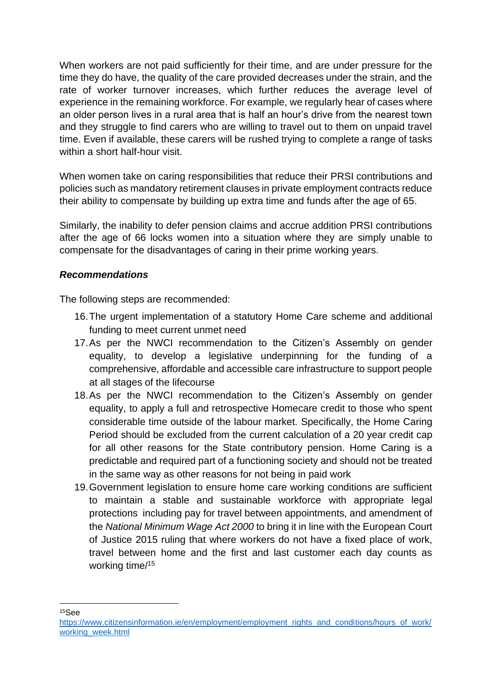When workers are not paid sufficiently for their time, and are under pressure for the time they do have, the quality of the care provided decreases under the strain, and the rate of worker turnover increases, which further reduces the average level of experience in the remaining workforce. For example, we regularly hear of cases where an older person lives in a rural area that is half an hour's drive from the nearest town and they struggle to find carers who are willing to travel out to them on unpaid travel time. Even if available, these carers will be rushed trying to complete a range of tasks within a short half-hour visit.

When women take on caring responsibilities that reduce their PRSI contributions and policies such as mandatory retirement clauses in private employment contracts reduce their ability to compensate by building up extra time and funds after the age of 65.

Similarly, the inability to defer pension claims and accrue addition PRSI contributions after the age of 66 locks women into a situation where they are simply unable to compensate for the disadvantages of caring in their prime working years.

# *Recommendations*

The following steps are recommended:

- 16.The urgent implementation of a statutory Home Care scheme and additional funding to meet current unmet need
- 17.As per the NWCI recommendation to the Citizen's Assembly on gender equality, to develop a legislative underpinning for the funding of a comprehensive, affordable and accessible care infrastructure to support people at all stages of the lifecourse
- 18.As per the NWCI recommendation to the Citizen's Assembly on gender equality, to apply a full and retrospective Homecare credit to those who spent considerable time outside of the labour market. Specifically, the Home Caring Period should be excluded from the current calculation of a 20 year credit cap for all other reasons for the State contributory pension. Home Caring is a predictable and required part of a functioning society and should not be treated in the same way as other reasons for not being in paid work
- 19.Government legislation to ensure home care working conditions are sufficient to maintain a stable and sustainable workforce with appropriate legal protections including pay for travel between appointments, and amendment of the *National Minimum Wage Act 2000* to bring it in line with the European Court of Justice 2015 ruling that where workers do not have a fixed place of work, travel between home and the first and last customer each day counts as working time/<sup>15</sup>

 $15$ See

[https://www.citizensinformation.ie/en/employment/employment\\_rights\\_and\\_conditions/hours\\_of\\_work/](https://www.citizensinformation.ie/en/employment/employment_rights_and_conditions/hours_of_work/working_week.html) [working\\_week.html](https://www.citizensinformation.ie/en/employment/employment_rights_and_conditions/hours_of_work/working_week.html)